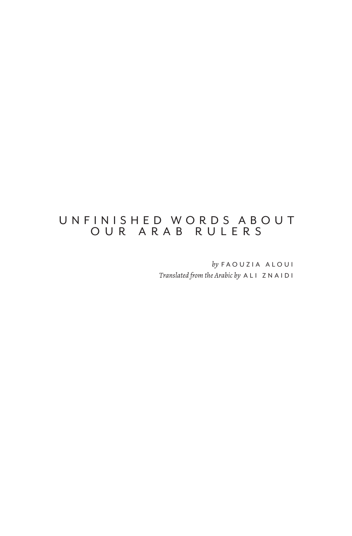## UNFINISHED WORDS ABOUT OUR ARAB RULERS

*by* FAOUZIA ALOUI *Translated from the Arabic by* ALI ZNAIDI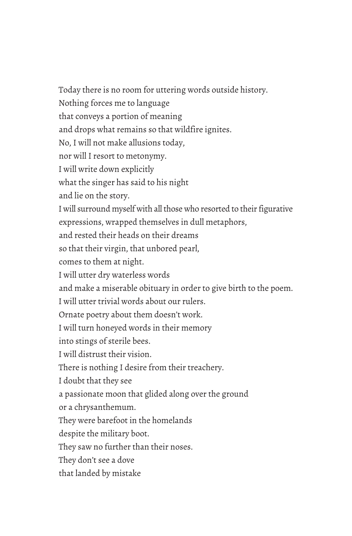Today there is no room for uttering words outside history. Nothing forces me to language that conveys a portion of meaning and drops what remains so that wildfire ignites. No, I will not make allusions today, nor will I resort to metonymy. I will write down explicitly what the singer has said to his night and lie on the story. I will surround myself with all those who resorted to their figurative expressions, wrapped themselves in dull metaphors, and rested their heads on their dreams so that their virgin, that unbored pearl, comes to them at night. I will utter dry waterless words and make a miserable obituary in order to give birth to the poem. I will utter trivial words about our rulers. Ornate poetry about them doesn't work. I will turn honeyed words in their memory into stings of sterile bees. I will distrust their vision. There is nothing I desire from their treachery. I doubt that they see a passionate moon that glided along over the ground or a chrysanthemum. They were barefoot in the homelands despite the military boot. They saw no further than their noses. They don't see a dove that landed by mistake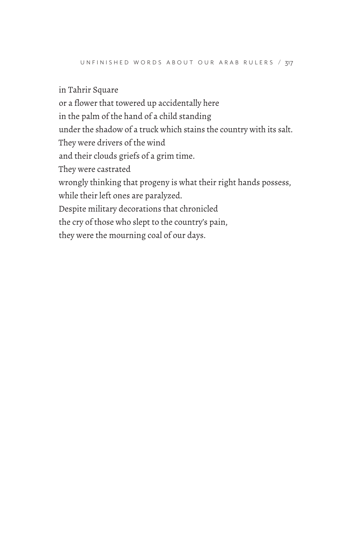in Tahrir Square or a flower that towered up accidentally here in the palm of the hand of a child standing under the shadow of a truck which stains the country with its salt. They were drivers of the wind and their clouds griefs of a grim time. They were castrated wrongly thinking that progeny is what their right hands possess, while their left ones are paralyzed. Despite military decorations that chronicled the cry of those who slept to the country's pain, they were the mourning coal of our days.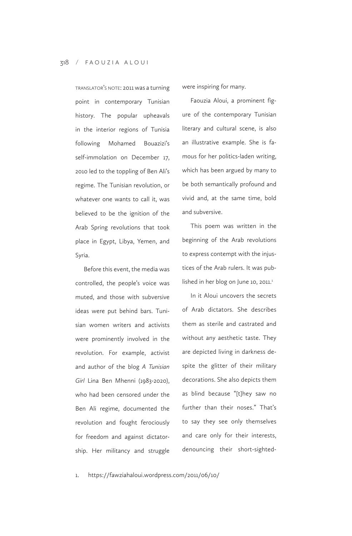translator's note: 2011 was a turning point in contemporary Tunisian history. The popular upheavals in the interior regions of Tunisia following Mohamed Bouazizi's self-immolation on December 17, 2010 led to the toppling of Ben Ali's regime. The Tunisian revolution, or whatever one wants to call it, was believed to be the ignition of the Arab Spring revolutions that took place in Egypt, Libya, Yemen, and Syria.

Before this event, the media was controlled, the people's voice was muted, and those with subversive ideas were put behind bars. Tunisian women writers and activists were prominently involved in the revolution. For example, activist and author of the blog *A Tunisian Girl* Lina Ben Mhenni (1983-2020), who had been censored under the Ben Ali regime, documented the revolution and fought ferociously for freedom and against dictatorship. Her militancy and struggle were inspiring for many.

Faouzia Aloui, a prominent figure of the contemporary Tunisian literary and cultural scene, is also an illustrative example. She is famous for her politics-laden writing, which has been argued by many to be both semantically profound and vivid and, at the same time, bold and subversive.

This poem was written in the beginning of the Arab revolutions to express contempt with the injustices of the Arab rulers. It was published in her blog on June 10, 2011.<sup>1</sup>

In it Aloui uncovers the secrets of Arab dictators. She describes them as sterile and castrated and without any aesthetic taste. They are depicted living in darkness despite the glitter of their military decorations. She also depicts them as blind because "[t]hey saw no further than their noses." That's to say they see only themselves and care only for their interests, denouncing their short-sighted-

1. https://fawziahaloui.wordpress.com/2011/06/10/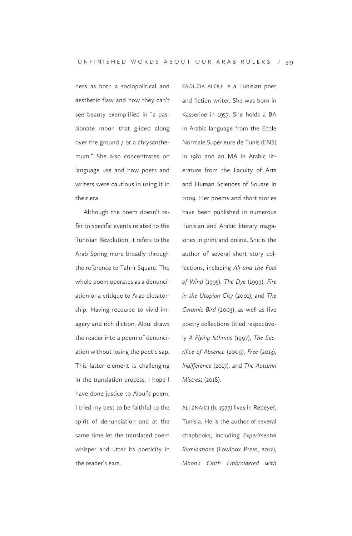ness as both a sociopolitical and aesthetic flaw and how they can't see beauty exemplified in "a passionate moon that glided along over the ground / or a chrysanthemum." She also concentrates on language use and how poets and writers were cautious in using it in their era.

Although the poem doesn't refer to specific events related to the Tunisian Revolution, it refers to the Arab Spring more broadly through the reference to Tahrir Square. The whole poem operates as a denunciation or a critique to Arab dictatorship. Having recourse to vivid imagery and rich diction, Aloui draws the reader into a poem of denunciation without losing the poetic sap. This latter element is challenging in the translation process. I hope I have done justice to Aloui's poem. I tried my best to be faithful to the spirit of denunciation and at the same time let the translated poem whisper and utter its poeticity in the reader's ears.

FAOUZIA ALOUI is a Tunisian poet and fiction writer. She was born in Kasserine in 1957. She holds a BA in Arabic language from the Ecole Normale Supérieure de Tunis (ENS) in 1981 and an MA in Arabic literature from the Faculty of Arts and Human Sciences of Sousse in 2009. Her poems and short stories have been published in numerous Tunisian and Arabic literary magazines in print and online. She is the author of several short story collections, including *Ali and the Foal of Wind* (1995), *The Dye* (1999), *Fire in the Utopian City* (2001), and *The Ceramic Bird* (2003), as well as five poetry collections titled respectively *A Flying Isthmus* (1997), *The Sacrifice of Absence* (2009), *Free* (2013), *Indifference* (2017), and *The Autumn Mistress* (2018).

ALI ZNAIDI (b. 1977) lives in Redeyef, Tunisia. He is the author of several chapbooks, including *Experimental Ruminations* (Fowlpox Press, 2012), *Moon's Cloth Embroidered with*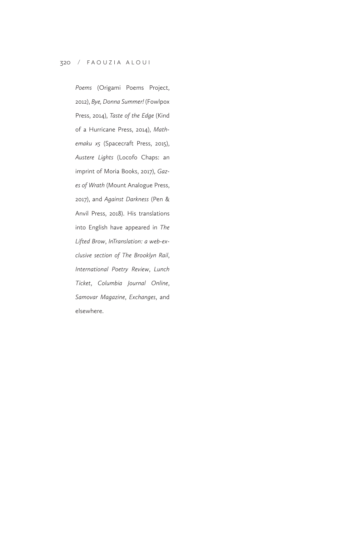*Poems* (Origami Poems Project, 2012), *Bye, Donna Summer!* (Fowlpox Press, 2014), *Taste of the Edge* (Kind of a Hurricane Press, 2014), *Mathemaku x5* (Spacecraft Press, 2015), *Austere Lights* (Locofo Chaps: an imprint of Moria Books, 2017), *Gazes of Wrath* (Mount Analogue Press, 2017), and *Against Darkness* (Pen & Anvil Press, 2018). His translations into English have appeared in *The Lifted Brow*, *InTranslation: a web-exclusive section of The Brooklyn Rail*, *International Poetry Review*, *Lunch Ticket*, *Columbia Journal Online*, *Samovar Magazine*, *Exchanges*, and elsewhere.